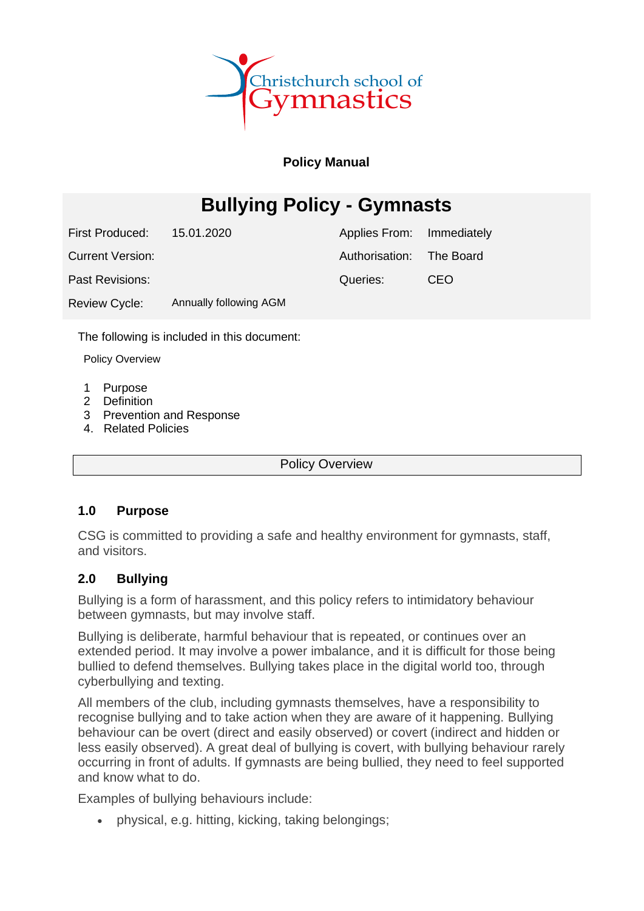

### **Policy Manual**

# **Bullying Policy - Gymnasts**

First Produced: 15.01.2020

Current Version:

Past Revisions:

Review Cycle: Annually following AGM Authorisation: Queries: The Board CEO

Immediately

Applies From:

The following is included in this document:

Policy Overview

- 1 Purpose
- 2 Definition
- 3 Prevention and Response
- 4. Related Policies

Policy Overview

#### **1.0 Purpose**

CSG is committed to providing a safe and healthy environment for gymnasts, staff, and visitors.

### **2.0 Bullying**

Bullying is a form of harassment, and this policy refers to intimidatory behaviour between gymnasts, but may involve staff.

Bullying is deliberate, harmful behaviour that is repeated, or continues over an extended period. It may involve a power imbalance, and it is difficult for those being bullied to defend themselves. Bullying takes place in the digital world too, through cyberbullying and texting.

All members of the club, including gymnasts themselves, have a responsibility to recognise bullying and to take action when they are aware of it happening. Bullying behaviour can be overt (direct and easily observed) or covert (indirect and hidden or less easily observed). A great deal of bullying is covert, with bullying behaviour rarely occurring in front of adults. If gymnasts are being bullied, they need to feel supported and know what to do.

Examples of bullying behaviours include:

• physical, e.g. hitting, kicking, taking belongings;